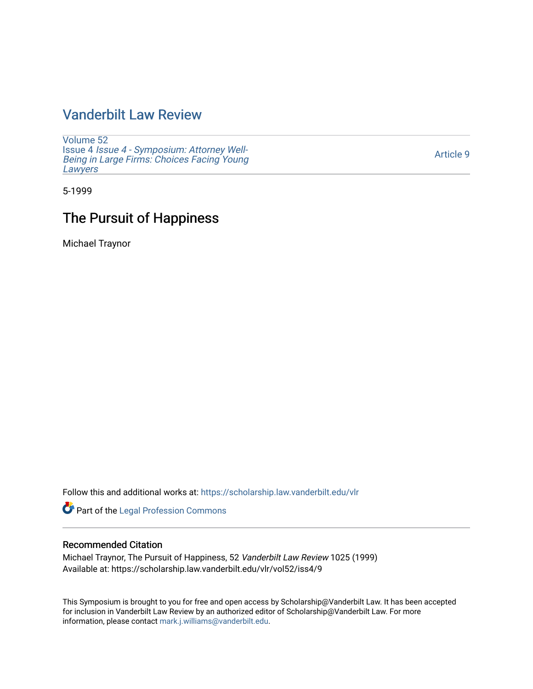## [Vanderbilt Law Review](https://scholarship.law.vanderbilt.edu/vlr)

[Volume 52](https://scholarship.law.vanderbilt.edu/vlr/vol52) Issue 4 [Issue 4 - Symposium: Attorney Well-](https://scholarship.law.vanderbilt.edu/vlr/vol52/iss4)[Being in Large Firms: Choices Facing Young](https://scholarship.law.vanderbilt.edu/vlr/vol52/iss4) **Lawyers** 

[Article 9](https://scholarship.law.vanderbilt.edu/vlr/vol52/iss4/9) 

5-1999

## The Pursuit of Happiness

Michael Traynor

Follow this and additional works at: [https://scholarship.law.vanderbilt.edu/vlr](https://scholarship.law.vanderbilt.edu/vlr?utm_source=scholarship.law.vanderbilt.edu%2Fvlr%2Fvol52%2Fiss4%2F9&utm_medium=PDF&utm_campaign=PDFCoverPages)

Part of the [Legal Profession Commons](http://network.bepress.com/hgg/discipline/1075?utm_source=scholarship.law.vanderbilt.edu%2Fvlr%2Fvol52%2Fiss4%2F9&utm_medium=PDF&utm_campaign=PDFCoverPages)

## Recommended Citation

Michael Traynor, The Pursuit of Happiness, 52 Vanderbilt Law Review 1025 (1999) Available at: https://scholarship.law.vanderbilt.edu/vlr/vol52/iss4/9

This Symposium is brought to you for free and open access by Scholarship@Vanderbilt Law. It has been accepted for inclusion in Vanderbilt Law Review by an authorized editor of Scholarship@Vanderbilt Law. For more information, please contact [mark.j.williams@vanderbilt.edu](mailto:mark.j.williams@vanderbilt.edu).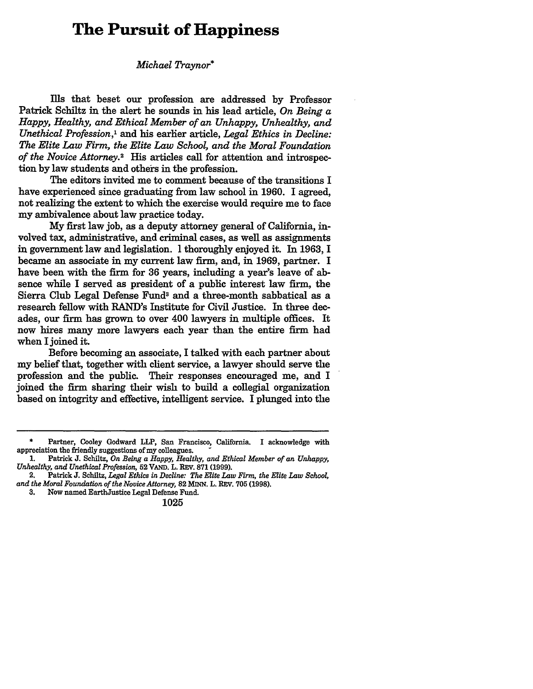## **The Pursuit of Happiness**

*Michael Traynor\**

Ills that beset our profession are addressed by Professor Patrick Schiltz in the alert he sounds in his lead article, *On Being a Happy, Healthy, and Ethical Member of an Unhappy, Unhealthy, and Unethical Profession,'* and his earlier article, *Legal Ethics in Decline: The Elite Law Firm, the Elite Law School, and the Moral Foundation of the Novice Attorney.2* His articles call for attention and introspection by law students and others in the profession.

The editors invited me to comment because of the transitions I have experienced since graduating from law school in 1960. I agreed, not realizing the extent to which the exercise would require me to face my ambivalence about law practice today.

My first law job, as a deputy attorney general of California, involved tax, administrative, and criminal cases, as well as assignments in government law and legislation. I thoroughly enjoyed it. In 1963, I became an associate in my current law firm, and, in 1969, partner. I have been with the firm for 36 years, including a year's leave of absence while I served as president of a public interest law firm, the Sierra Club Legal Defense Funds and a three-month sabbatical as a research fellow with RAND's Institute for Civil Justice. In three decades, our firm has grown to over 400 lawyers in multiple offices. It now hires many more lawyers each year than the entire firm had when I joined it.

Before becoming an associate, I talked with each partner about my belief that, together with client service, a lawyer should serve the profession and the public. Their responses encouraged me, and I joined the firm sharing their wish to build a collegial organization based on integrity and effective, intelligent service. I plunged into the

Partner, Cooley Godward LLP, San Francisco, California. I acknowledge with appreciation the friendly suggestions of my colleagues.

**<sup>1.</sup>** Patrick **J.** Schiltz, *On Being a Happy, Healthy, and Ethical Member of an Unhappy, Unhealthy, and Unethical Profession,* **52 VAND.** L. REV. **871 (1999).**

<sup>2.</sup> Patrick **J.** Schiltz, *Legal Ethics in Decline: The Elite Law Firm, the Elite Law School, and the Moral Foundation of the Novice Attorney,* 82 MINN. L. REV. **705 (1998).**

**<sup>3.</sup>** Now named EarthJustice Legal Defense Fund.

**<sup>1025</sup>**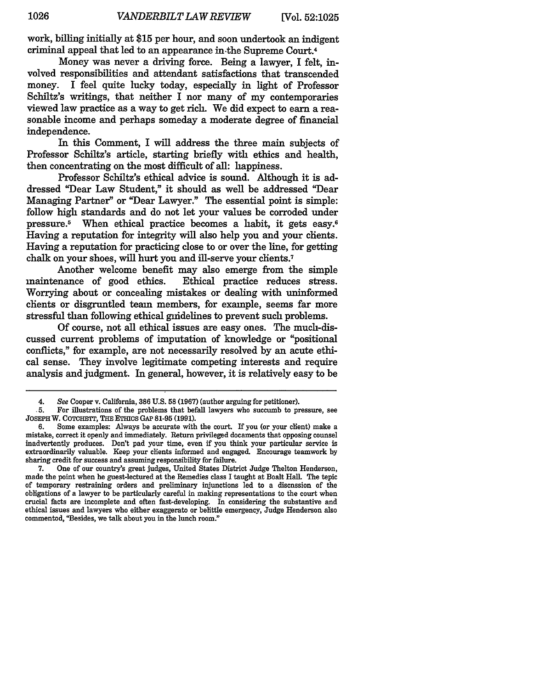work, billing initially at **\$15** per hour, and soon undertook an indigent criminal appeal that led to an appearance in-the Supreme Court.4

Money was never a driving force. Being a lawyer, I felt, involved responsibilities and attendant satisfactions that transcended money. I feel quite lucky today, especially in light of Professor Schiltz's writings, that neither I nor many of my contemporaries viewed law practice as a way to get rich. We did expect to earn a reasonable income and perhaps someday a moderate degree of financial independence.

In this Comment, I will address the three main subjects of Professor Schiltz's article, starting briefly with ethics and health, then concentrating on the most difficult of all: happiness.

Professor Schiltz's ethical advice is sound. Although it is addressed "Dear Law Student," it should as well be addressed "Dear Managing Partner" or "Dear Lawyer." The essential point is simple: follow high standards and do not let your values be corroded under pressure.<sup>5</sup> When ethical practice becomes a habit, it gets easy.<sup>6</sup> Having a reputation for integrity will also help you and your chents. Having a reputation for practicing close to or over the line, for getting chalk on your shoes, will hurt you and ill-serve your chents.<sup>7</sup>

Another welcome benefit may also emerge from the simple maintenance of good ethics. Ethical practice reduces stress. Worrying about or concealing mistakes or dealing with uninformed chients or disgruntled team members, for example, seems far more stressful than following ethical guidelines to prevent such problems.

Of course, not all ethical issues are easy ones. The much-discussed current problems of imputation of knowledge or "positional conflicts," for example, are not necessarily resolved by an acute ethical sense. They involve legitimate competing interests and require analysis and judgment. In general, however, it is relatively easy to be

<sup>4.</sup> See Cooper v. California, 386 U.S. 58 (1967) (author arguing for petitioner).

**<sup>.5.</sup>** For illustrations of the problems that befall lawyers who succumb to pressure, see JOSEPH W. COTCHETT, THE ETHICS GAP 81-95 (1991).

**<sup>6.</sup>** Some examples: Always be accurate with the court. If you (or your client) make a mistake, correct it openly and immediately. Return privileged documents that opposing counsel inadvertently produces. Don't pad your time, even **if** you think your particular service is extraordinarily valuable. Keep your clients informed and engaged. Encourage teamwork **by** sharing credit for success and assuming responsibility for failure.

**<sup>7.</sup>** One of our country's great judges, United States District Judge Thelton Henderson, made the point when he guest-lectured at the Remedies class **I** taught at Boalt Hall. The topic of temporary restraining orders and preliminary injunctions led to a discussion of the obligations of a lawyer to be particularly careful in making representations to the court when crucial facts are incomplete and often fast-developing. In considering the substantive and ethical issues and lawyers who either exaggerate or belittle emergency, Judge Henderson also commented, "Besides, we talk about you in the lunch room."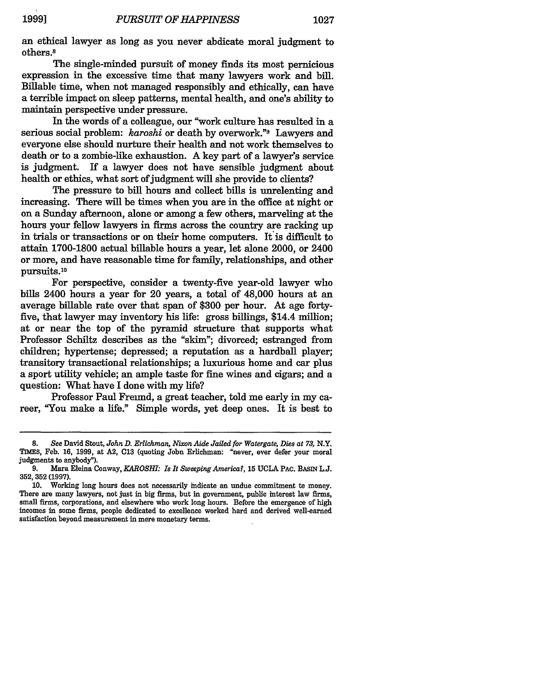an ethical lawyer as long as you never abdicate moral judgment to others.8

The single-minded pursuit of money finds its most pernicious expression in the excessive time that many lawyers work and bill. Billable time, when not managed responsibly and ethically, can have a terrible impact on sleep patterns, mental health, and one's ability to maintain perspective under pressure.

**In** the words of a colleague, our "work culture has resulted in a serious social problem: *karoshi* or death by overwork."s Lawyers and everyone else should nurture their health and not work themselves to death or to a zombie-like exhaustion. A key part of a lawyer's service is judgment. If a lawyer does not have sensible judgment about health or ethics, what sort of judgment will she provide to clients?

The pressure to bill hours and collect bills is unrelenting and increasing. There will be times when you are in the office at night or on a Sunday afternoon, alone or among a few others, marveling at the hours your fellow lawyers in firms across the country are racking up in trials or transactions or on their home computers. It is difficult to attain 1700-1800 actual billable hours a year, let alone 2000, or 2400 or more, and have reasonable time for family, relationships, and other pursuits.'<sup>0</sup>

For perspective, consider a twenty-five year-old lawyer who bills 2400 hours a year for 20 years, a total of 48,000 hours at an average billable rate over that span of **\$300** per hour. At age fortyfive, that lawyer may inventory his life: gross billings, \$14.4 million; at or near the top of the pyramid structure that supports what Professor Schiltz describes as the "skim"; divorced; estranged from children; hypertense; depressed; a reputation as a hardball player; transitory transactional relationships; a luxurious home and car plus a sport utility vehicle; an ample taste for fine wines and cigars; and a question: What have I done with my life?

Professor Paul Freund, a great teacher, told me early in my career, "You make a life." Simple words, yet deep ones. It is best to

<sup>8.</sup> *See* David Stout, *John D. Erlichman, Nixon Aide Jailed for Watergate, Dies at 73,* N.Y. TIMES, Feb. **16,** 1999, at **A2, C13** (quoting John Erlichman: "never, ever defer your moral judgments to anybody").

**<sup>9.</sup>** Mara Eleina Conway, *KAROSHI: Is It Sweeping America?,* **15 UCLA PAC.** BASIN **L.J. 352,352(1997).**

**<sup>10.</sup>** Working long hours does not necessarily indicate an undue commitment to money. There are many lawyers, not just in big firms, but in government, public interest law firms, small firms, corporations, and elsewhere who work long hours. Before the emergence of high incomes in some firms, people dedicated to excellence worked hard and derived well-earned satisfaction beyond measurement in mere monetary terms.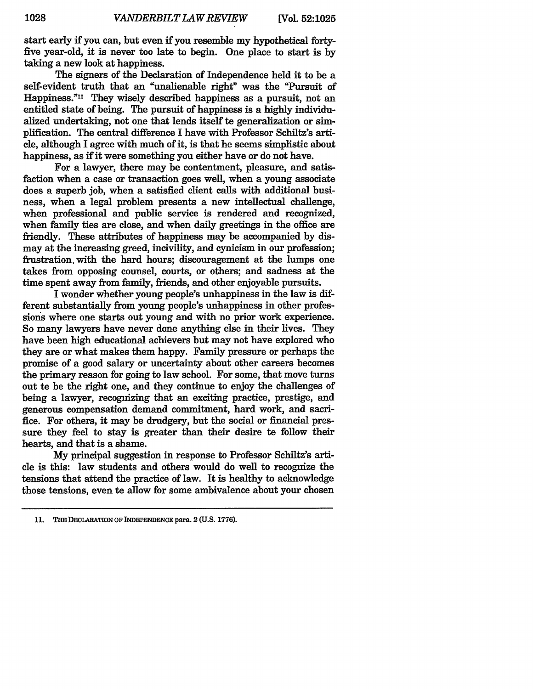start early if you can, but even if you resemble my hypothetical fortyfive year-old, it is never too late to begin. One place to start is **by** taking a new look at happiness.

The signers of the Declaration of Independence held it to be a self-evident truth that an "unalienable right" was the "Pursuit of Happiness."<sup>11</sup> They wisely described happiness as a pursuit, not an entitled state of being. The pursuit of happiness is a **highly** individualized undertaking, not one that lends itself to generalization or simplification. The central difference I have with Professor Schiltz's article, although I agree with much of it, is that he seems simplistic about happiness, as if it were something you either have or do not have.

For a lawyer, there may be contentment, pleasure, and satisfaction when a case or transaction goes well, when a young associate does a superb **job,** when a satisfied client calls with additional business, when a legal problem presents a new intellectual challenge, when professional and public service is rendered and recognized, when family ties are close, and when daily greetings in the office are friendly. These attributes of happiness may be accompanied **by** dismay at the increasing greed, incivility, and cynicism in our profession; frustration, with the hard hours; discouragement at the lumps one takes from opposing counsel, courts, or others; and sadness at the time spent away from family, friends, and other enjoyable pursuits.

I wonder whether young people's unhappiness in the law is different substantially from young people's unhappiness in other professions where one starts out young and with no prior work experience. So many lawyers have never done anything else in their lives. They have been high educational achievers but may not have explored who they are or what makes them happy. Family pressure or perhaps the promise of a good salary or uncertainty about other careers becomes the primary reason for going to law school. For some, that move turns out to be the right one, and they continue to enjoy the challenges of being a lawyer, recognizing that an exciting practice, prestige, and generous compensation demand commitment, hard work, and sacrifice. For others, it may be drudgery, but the social or financial pressure they feel to stay is greater than their desire to follow their hearts, and that is a shame.

**My** principal suggestion in response to Professor Schiltz's article is this: law students and others would do well to recognize the tensions that attend the practice of law. It is healthy to acknowledge those tensions, even te allow for some ambivalence about your chosen

**<sup>11.</sup> THE** DECLARATION **OF** INDEPENDENCE para. 2 **(U.S. 1776).**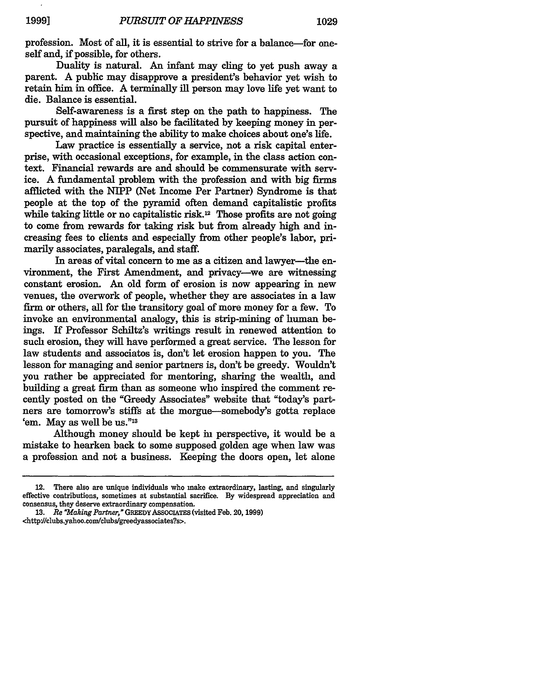profession. Most of all, it is essential to strive for a balance-for oneself and, if possible, for others.

Duality is natural. An infant may cling to yet push away a parent. A public may disapprove a president's behavior yet wish to retain him in office. A terminally ill person may love life yet want to die. Balance is essential.

Self-awareness is a first step on the path to happiness. The pursuit of happiness will also be facilitated by keeping money in perspective, and maintaining the ability to make choices about one's life.

Law practice is essentially a service, not a risk capital enterprise, with occasional exceptions, for example, in the class action context. Financial rewards are and should be commensurate with service. A fundamental problem with the profession and with big firms afflicted with the NIPP (Net Income Per Partner) Syndrome is that people at the top of the pyramid often demand capitalistic profits while taking little or no capitalistic risk.<sup>12</sup> Those profits are not going to come from rewards for taking risk but from already high and increasing fees to clients and especially from other people's labor, primarily associates, paralegals, and staff.

In areas of vital concern to me as a citizen and lawyer-the environment, the First Amendment, and privacy-we are witnessing constant erosion. An old form of erosion is now appearing in new venues, the overwork of people, whether they are associates in a law firm or others, all for the transitory goal of more money for a few. To invoke an environmental analogy, this is strip-mining of human beings. If Professor Schiltz's writings result in renewed attention to such erosion, they will have performed a great service. The lesson for law students and associatos is, don't let erosion happen to you. The lesson for managing and senior partners is, don't be greedy. Wouldn't you rather be appreciated for mentoring, sharing the wealth, and building a great firm than as someone who inspired the comment recently posted on the "Greedy Associates" website that "today's partners are tomorrow's stiffs at the morgue-somebody's gotta replace 'em. May as well be us." $^{13}$ 

Although money should be kept in perspective, it would be a mistake to hearken back to some supposed golden age when law was a profession and not a business. Keeping the doors open, let alone

<http:J/clubs.yahoo.com/clubs/greedyassociates?s>.

<sup>12.</sup> There also are unique individuals who make extraordinary, lasting, and singularly effective contributions, sometimes at substantial sacrifice. **By** widespread appreciation and consensus, they deserve extraordinary compensation.

**<sup>13.</sup>** *Re "Making Partner,"* GREEDYASSOCIATES (visited Feb. **20, 1999)**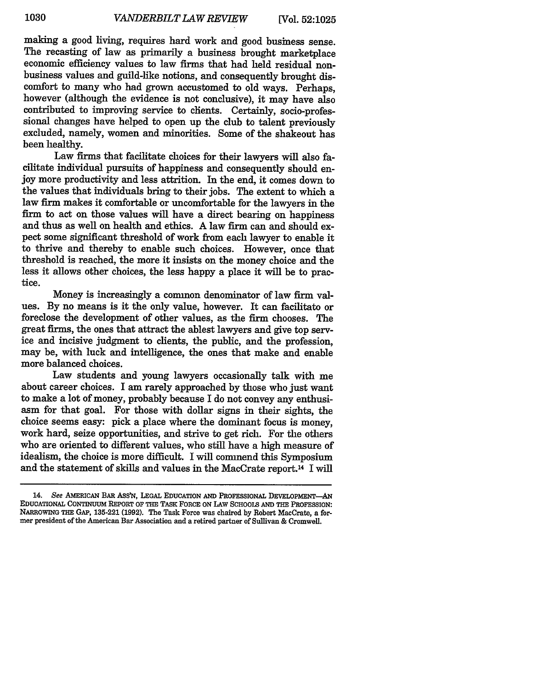making a good living, requires hard work and good business sense. The recasting of law as primarily a business brought marketplace economic efficiency values to law firms that had held residual nonbusiness values and guild-like notions, and consequently brought discomfort to many who had grown accustomed to old ways. Perhaps, however (although the evidence is not conclusive), it may have also contributed to improving service to chents. Certainly, socio-professional changes have helped to open up the club to talent previously excluded, namely, women and minorities. Some of the shakeout has been healthy.

Law firms that facilitate choices for their lawyers will also facilitate individual pursuits of happiness and consequently should enjoy more productivity and less attrition. In the end, it comes down to the values that individuals bring to their jobs. The extent to which a law firm makes it comfortable or uncomfortable for the lawyers in the firm to act on those values will have a direct bearing on happiness and thus as well on health and ethics. A law firm can and should expect some significant threshold of work from each lawyer to enable it to thrive and thereby to enable such choices. However, once that threshold is reached, the more it insists on the money choice and the less it allows other choices, the less happy a place it will be to practice.

Money is increasingly a common denominator of law firm values. By no means is it the only value, however. It can facilitato or foreclose the development of other values, as the firm chooses. The great firms, the ones that attract the ablest lawyers and give top service and incisive judgment to clients, the public, and the profession, may be, with luck and intelligence, the ones that make and enable more balanced choices.

Law students and young lawyers occasionally talk with me about career choices. I am rarely approached by those who just want to make a lot of money, probably because I do not convey any enthusiasm for that goal. For those with dollar signs in their sights, the choice seems easy: pick a place where the dominant focus is money, work hard, seize opportunities, and strive to get rich. For the others who are oriented to different values, who still have a high measure of idealism, the choice is more difficult. I will commend this Symposium and the statement of skills and values in the MacCrate report.14 I will

<sup>14.</sup> See AMERICAN BAR ASSN, LEGAL **EDUCATION** AND PROFESSIONAL DEVELOPMENT-AN EDUCATIONAL CONTINUUM REPORT OF THE TASK FORCE ON LAW **SCHOOLS** AND **THE** PROFESSION: NARROWING THE GAP, **135-221** (1992). The Task Force was chaired **by** Robert MacCrate, a for- mer president of the American Bar Association and a retired partner of Sullivan & Cromwell.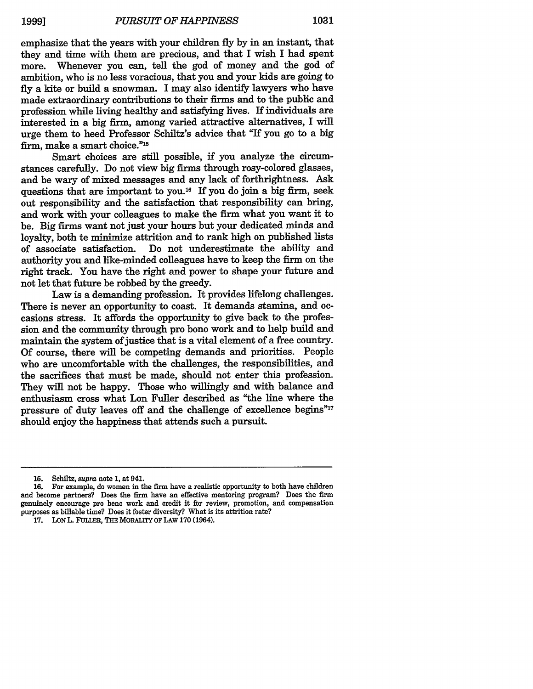emphasize that the years with your children fly by in an instant, that they and time with them are precious, and that I wish I had spent more. Whenever you can, tell the god of money and the god of ambition, who is no less voracious, that you and your kids are going to fly a kite or build a snowman. I may also identify lawyers who have made extraordinary contributions to their firms and to the public and profession while living healthy and satisfying lives. If individuals are interested in a big firm, among varied attractive alternatives, I will urge them to heed Professor Schiltz's advice that "If you go to a big firm, make a smart choice."<sup>15</sup>

Smart choices are still possible, if you analyze the circumstances carefully. Do not view big firms through rosy-colored glasses, and be wary of mixed messages and any lack of forthrightness. Ask questions that are important to you.16 If you do join a big **firm,** seek out responsibility and the satisfaction that responsibility can bring, and work with your colleagues to make the firm what you want it to be. Big firms want not just your hours but your dedicated minds and loyalty, both te minimize attrition and to rank high on published lists of associate satisfaction. Do not underestimate the ability and authority you and like-minded colleagues have to keep the **firm** on the right track. You have the right and power to shape your future and not let that future be robbed by the greedy.

Law is a demanding profession. It provides lifelong challenges. There is never an opportunity to coast. It demands stamina, and occasions stress. It affords the opportunity to give back to the profession and the community through pro bono work and to help build and maintain the system of justice that is a vital element of a free country. Of course, there will be competing demands and priorities. People who are uncomfortable with the challenges, the responsibilities, and the sacrifices that must be made, should not enter this profession. They will not be happy. Those who willingly and with balance and enthusiasm cross what Lon Fuller described as "the line where the pressure of duty leaves off and the challenge of excellence begins" $17$ should enjoy the happiness that attends such a pursuit.

**<sup>15.</sup>** Schiltz, *supra* note 1, at 941.

**<sup>16.</sup>** For example, do women in the firm have a realistic opportunity to both have children and become partners? Does the firm have an effective mentoring program? Does the **firm** genuinely encourage pro beno work and credit it for review, promotion, and compensation purposes as billable time? Does it foster diversity? What is its attrition rate?

**<sup>17.</sup> LON** L. **FULLER,** THE MORAITY OF LAW **170** (1964).